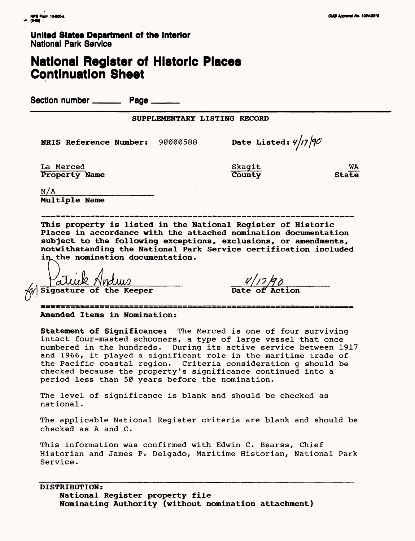## **National Register of Historic Places Continuation Sheet**

Section number \_\_\_\_\_\_\_\_\_ Page \_\_

**SUPPLEMENTARY LISTING RECORD** 

**NRIS Reference Number:** 90000588 **Date Listed:**  $4/17/90$ 

La Merced Name Skagit Name Skagit Name Skagit Name State **Property Name** 

 $N/A$ **Multiple Name**

**This property is listed in the National Register of Historic Places in accordance with the attached nomination documentation subject to the following exceptions, exclusions, or amendments, notwithstanding the National Park Service certification included**  in the nomination documentation.

**Signature of the Keeper**  $\frac{4}{\sqrt{2}}$ 

**Amended Items in Nomination:**

**Statement of Significance:** The Merced is one of four surviving intact four-masted schooners, a type of large vessel that once numbered in the hundreds. During its active service between 1917 and 1966, it played a significant role in the maritime trade of the Pacific coastal region. Criteria consideration g should be checked because the property's significance continued into a period less than 50 years before the nomination.

The level of significance is blank and should be checked as national.

The applicable National Register criteria are blank and should be checked as A and C.

This information was confirmed with Edwin C. Bearss, Chief Historian and James P. Delgado, Maritime Historian, National Park Service.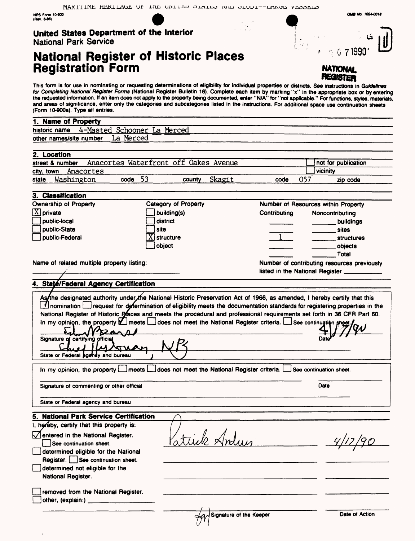NPS Form 10-800<br>(Rev. 8-86)

### **United States Department of the Interior** National Park Service

# **National Register of Historic Places Registration Form**



۰,

G 71990'

**QM0 Mo. 1024-0019**

This form is for use in nominating or requesting determinations of eligibility for individual properties or districts. See instructions in *Guidelines for Completing National Register Forms* (National Register Bulletin 16). Complete each item by marking "x" in the appropriate box or by entering the requested information. If an item does not apply to the property being documented, enter "N/A" for "not applicable." For functions, styles, materials, and areas of significance, enter only the categories and subcategories listed in the instructions. For additional space use continuation sheets (Form 10-900a). Type all entries.

| (POM IU-SUUL). Type all enthes.                                        |                                                                       |              |      |                                             |  |
|------------------------------------------------------------------------|-----------------------------------------------------------------------|--------------|------|---------------------------------------------|--|
| 1. Name of Property                                                    |                                                                       |              |      |                                             |  |
| 4-Masted Schooner La Merced<br>historic name                           |                                                                       |              |      |                                             |  |
| La Merced<br>other names/site number                                   |                                                                       |              |      |                                             |  |
|                                                                        |                                                                       |              |      |                                             |  |
| 2. Location                                                            |                                                                       |              |      |                                             |  |
| street & number                                                        | Anacortes Waterfront off Oakes Avenue                                 |              |      | not for publication                         |  |
| Anacortes<br>city, town<br>53                                          |                                                                       | code         | 057  | vicinity                                    |  |
| Washington<br>state<br>code                                            | Skagit<br>county                                                      |              |      | zip code                                    |  |
| 3. Classification                                                      |                                                                       |              |      |                                             |  |
| Ownership of Property                                                  | Category of Property<br>Number of Resources within Property           |              |      |                                             |  |
| $\left[X\right]$ private                                               | building(s)                                                           | Contributing |      | Noncontributing                             |  |
| public-local                                                           | district                                                              |              |      | buildings                                   |  |
| public-State                                                           | site                                                                  |              |      | <b>sites</b>                                |  |
| public-Federal                                                         | structure                                                             |              |      | <b>structures</b>                           |  |
|                                                                        | object                                                                |              |      | objects                                     |  |
|                                                                        |                                                                       |              |      | Total                                       |  |
| Name of related multiple property listing:                             |                                                                       |              |      | Number of contributing resources previously |  |
|                                                                        |                                                                       |              |      | listed in the National Register             |  |
| 4. State/Federal Agency Certification                                  |                                                                       |              |      |                                             |  |
|                                                                        |                                                                       |              |      |                                             |  |
| Signature of certifying official<br>State or Federal agency and bureau |                                                                       |              |      |                                             |  |
| In my opinion, the property $\Box$                                     | does not meet the National Register criteria. See continuation sheet. |              |      |                                             |  |
| Signature of commenting or other official                              |                                                                       |              | Date |                                             |  |
| State or Federal agency and bureau                                     |                                                                       |              |      |                                             |  |
| 5. National Park Service Certification                                 |                                                                       |              |      |                                             |  |
| I, hereby, certify that this property is:                              |                                                                       |              |      |                                             |  |
| entered in the National Register.                                      |                                                                       |              |      |                                             |  |
| See continuation sheet.                                                | atuik Andun                                                           |              |      |                                             |  |
| determined eligible for the National                                   |                                                                       |              |      |                                             |  |
| Register. See continuation sheet.                                      |                                                                       |              |      |                                             |  |
| determined not eligible for the                                        |                                                                       |              |      |                                             |  |
| National Register.                                                     |                                                                       |              |      |                                             |  |
|                                                                        |                                                                       |              |      |                                             |  |
| removed from the National Register.                                    |                                                                       |              |      |                                             |  |
|                                                                        |                                                                       |              |      |                                             |  |
|                                                                        |                                                                       |              |      |                                             |  |
|                                                                        | Ad Signature of the Keeper                                            |              |      | Date of Action                              |  |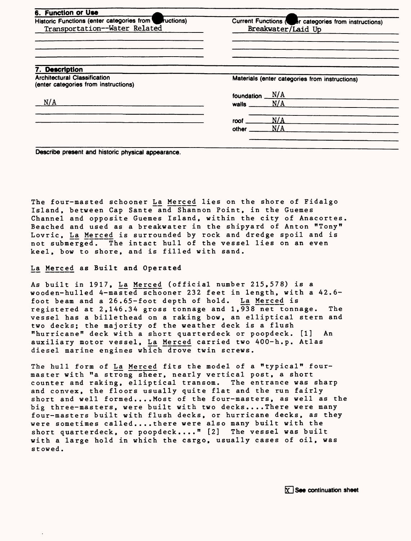| Current Functions (Correct categories from instructions)<br>Breakwater/Laid Up |
|--------------------------------------------------------------------------------|
|                                                                                |
| Materials (enter categories from instructions)                                 |
| N/A<br>foundation<br>N/A<br>walls                                              |
| N/A<br>roof<br>N/A<br>other                                                    |
|                                                                                |

**Describe present and historic physical appearance.**

The four-masted schooner La Merced lies on the shore of Fidalgo Island, between Cap Sante and Shannon Point, in the Guemes Channel and opposite Guemes Island, within the city of Anacortes. Beached and used as a breakwater in the shipyard of Anton "Tony" Lovric, La Merced is surrounded by rock and dredge spoil and is not submerged. The intact hull of the vessel lies on an even keel, bow to shore, and is filled with sand.

La. Merced as Built and Operated

As built in 1917, La Merced (official number 215,578) is a wooden-hulled 4-masted schooner 232 feet in length, with a 42.6 foot beam and a 26.65-foot depth of hold. La Merced is registered at 2,146.34 gross tonnage and 1,938 net tonnage. The vessel has a billethead on a raking bow, an elliptical stern and two decks; the majority of the weather deck is a flush "hurricane" deck with a short quarterdeck or poopdeck. [1] An auxiliary motor vessel, La. Merced carried two 400-h.p. Atlas diesel marine engines which drove twin screws.

The hull form of La Merced fits the model of a "typical" fourmaster with "a strong sheer, nearly vertical post, a short counter and raking, elliptical transom. The entrance was sharp and convex, the floors usually quite flat and the run fairly short and well formed....Most of the four-masters, as well as the big three-masters, were built with two decks.... There were many four-masters built with flush decks, or hurricane decks, as they were sometimes called.... there were also many built with the short quarterdeck, or poopdeck...." [2] The vessel was built with a large hold in which the cargo, usually cases of oil, was stowed.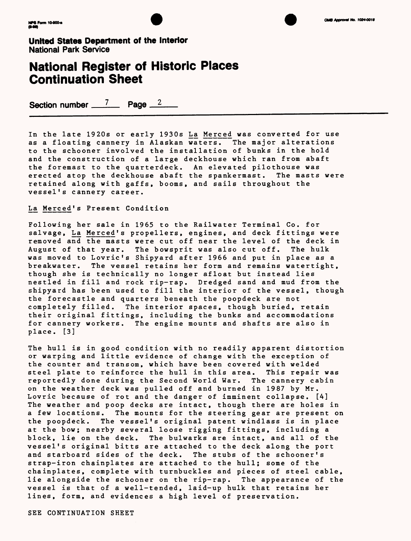



### **National Register of Historic Places Continuation Sheet**

Section number  $\frac{7}{2}$  Page  $\frac{2}{7}$ 

In the late 1920s or early 1930s La Merced was converted for use as a floating cannery in Alaskan waters. The major alterations to the schooner involved the installation of bunks in the hold and the construction of a large deckhouse which ran from abaft the foremast to the quarterdeck. An elevated pilothouse was erected atop the deckhouse abaft the spankermast. The masts were retained along with gaffs, booms, and sails throughout the vessel's cannery career.

#### La Merced's Present Condition

Following her sale in 1965 to the Railwater Terminal Co. for salvage, La Merced's propellers, engines, and deck fittings were removed and the masts were cut off near the level of the deck in<br>August of that year. The bowsprit was also cut off. The hulk August of that year. The bowsprit was also cut off. was moved to Lovric's Shipyard after 1966 and put in place as a breakwater. The vessel retains her form and remains watertight, though she is technically no longer afloat but instead lies nestled in fill and rock rip-rap. Dredged sand and mud from the shipyard has been used to fill the interior of the vessel, though the forecastle and quarters beneath the poopdeck are not completely filled. The interior spaces, though buried, retain their original fittings, including the bunks and accommodations for cannery workers. The engine mounts and shafts are also in place. [3]

The hull is in good condition with no readily apparent distortion or warping and little evidence of change with the exception of the counter and transom, which have been covered with welded steel plate to reinforce the hull in this area. This repair was reportedly done during the Second World War. The cannery cabin on the weather deck was pulled off and burned in 1987 by Mr. Lovric because of rot and the danger of imminent collapse. [4] The weather and poop decks are intact, though there are holes in a few locations. The mounts for the steering gear are present on the poopdeck. The vessel's original patent windlass is in place at the bow; nearby several loose rigging fittings, including a block, lie on the deck. The bulwarks are intact, and all of the vessel's original bitts are attached to the deck along the port and starboard sides of the deck. The stubs of the schooner's strap-iron chainplates are attached to the hull; some of the chainplates, complete with turnbuckles and pieces of steel cable, lie alongside the schooner on the rip-rap. The appearance of the vessel is that of a well-tended, laid-up hulk that retains her lines, form, and evidences a high level of preservation.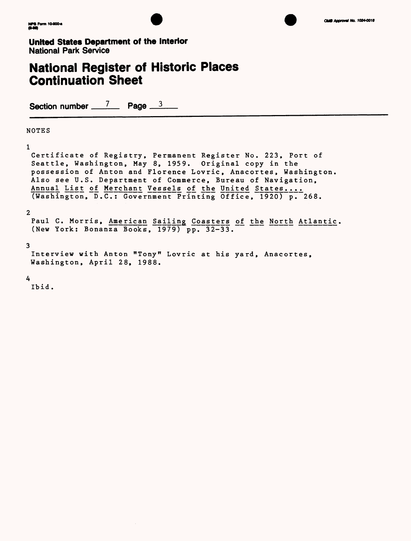



### **National Register of Historic Places Continuation Sheet**

Section number 7 Page 3

#### NOTES

1

Certificate of Registry, Permanent Register No. 223, Port of Seattle, Washington, May 8, 1959. Original copy in the possession of Anton and Florence Lovric, Anacortes, Washington. Also see U.S. Department of Commerce, Bureau of Navigation, Annual List of Merchant Vessels of the United States.... (Washington, D.C.: Government Printing Office, 1920) p. 268.

#### 2

Paul C. Morris, American Sailing Coasters of the North Atlantic. (New York: Bonanza Books, 1979) pp. 32-33.

#### 3

Interview with Anton "Tony" Lovric at his yard, Anacortes, Washington, April 28, 1988.

#### 4

Ibid.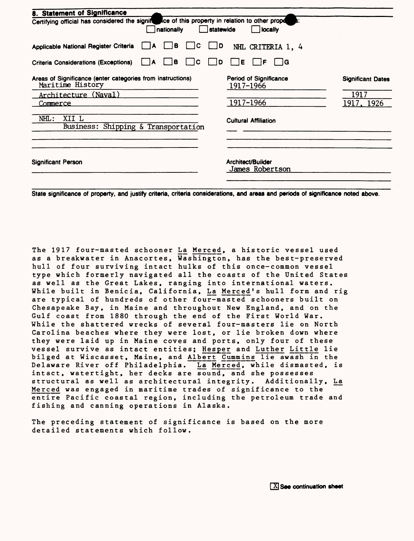| 8. Statement of Significance                                                                                   |                                      |                          |
|----------------------------------------------------------------------------------------------------------------|--------------------------------------|--------------------------|
| Certifying official has considered the signification of this property in relation to other prope<br>nationally | statewide<br>locally                 |                          |
| в<br>$\Box$<br>Applicable National Register Criteria<br>A                                                      | ID<br>NHL CRITERIA 1, 4              |                          |
| B<br>ΙC<br>Criteria Considerations (Exceptions)<br>١A                                                          | Ε<br>⊟ G<br>D<br>IF                  |                          |
| Areas of Significance (enter categories from instructions)<br>Maritime History                                 | Period of Significance<br>1917-1966  | <b>Significant Dates</b> |
| Architecture (Naval)                                                                                           |                                      | 1917                     |
| Commerce                                                                                                       | 1917-1966                            | 1917, 1926               |
| XII L<br>$NHL$ :<br>Business: Shipping & Transportation                                                        | <b>Cultural Affiliation</b>          |                          |
| <b>Significant Person</b>                                                                                      | Architect/Builder<br>James Robertson |                          |

**State significance of property, and justify criteria, criteria considerations, and areas and periods of significance noted above.**

The 1917 four-masted schooner La Merced, a historic vessel used as a breakwater in Anacortes, Washington, has the best-preserved hull of four surviving intact hulks of this once-common vessel type which formerly navigated all the coasts of the United States as well as the Great Lakes, ranging into international waters. While built in Benicia, California, La Merced's hull form and rig are typical of hundreds of other four-masted schooners built on Chesapeake Bay, in Maine and throughout New England, and on the Gulf coast from 1880 through the end of the First World War. While the shattered wrecks of several four-masters lie on North Carolina beaches where they were lost, or lie broken down where they were laid up in Maine coves and ports, only four of these vessel survive as intact entities; Hesper and Luther Little lie bilged at Wiscasset, Maine, and Albert Cummins lie awash in the Delaware River off Philadelphia. La Merced, while dismasted, is intact, watertight, her decks are sound, and she possesses structural as well as architectural integrity. Additionally, La Merced was engaged in maritime trades of significance to the entire Pacific coastal region, including the petroleum trade and fishing and canning operations in Alaska.

The preceding statement of significance is based on the more detailed statements which follow.

**EX** See continuation sheet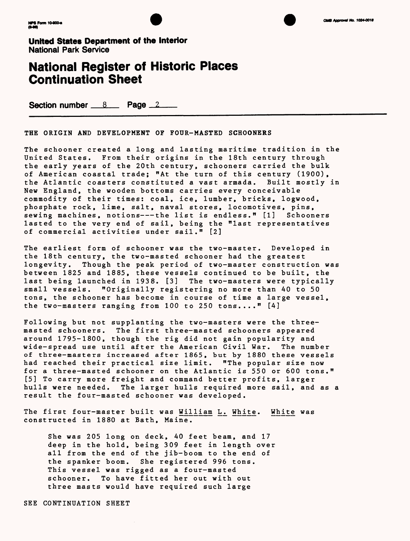





### **National Register of Historic Places Continuation Sheet**

Section number **8 Page** 2

THE ORIGIN AND DEVELOPMENT OF FOUR-MASTED SCHOONERS

The schooner created a long and lasting maritime tradition in the United States. From their origins in the 18th century through the early years of the 20th century, schooners carried the bulk of American coastal trade; "At the turn of this century (1900), the Atlantic coasters constituted a vast armada. Built mostly in New England, the wooden bottoms carries every conceivable commodity of their times: coal, ice, lumber, bricks, logwood, phosphate rock, lime, salt, naval stores, locomotives, pins, sewing machines, notions-—the list is endless." [1] Schooners lasted to the very end of sail, being the "last representatives of commercial activities under sail." [2]

The earliest form of schooner was the two-master. Developed in the 18th century, the two-masted schooner had the greatest longevity. Though the peak period of two-master construction was between 1825 and 1885, these vessels continued to be built, the last being launched in 1938. [3] The two-masters were typically small vessels. "Originally registering no more than 40 to 50 tons, the schooner has become in course of time a large vessel, the two-masters ranging from 100 to 250 tons...." [4]

Following but not supplanting the two-masters were the threemasted schooners. The first three-masted schooners appeared around 1795-1800, though the rig did not gain popularity and wide-spread use until after the American Civil War. The number of three-masters increased after 1865, but by 1880 these vessels had reached their practical size limit. "The popular size now for a three-masted schooner on the Atlantic is 550 or 600 tons." [5] To carry more freight and command better profits, larger hulls were needed. The larger hulls required more sail, and as a result the four-masted schooner was developed.

The first four-master built was William L. White. White was constructed in 1880 at Bath, Maine.

She was 205 long on deck, 40 feet beam, and 17 deep in the hold, being 309 feet in length over all from the end of the jib-boom to the end of the spanker boom. She registered 996 tons. This vessel was rigged as a four-masted schooner. To have fitted her out with out three masts would have required such large

SEE CONTINUATION SHEET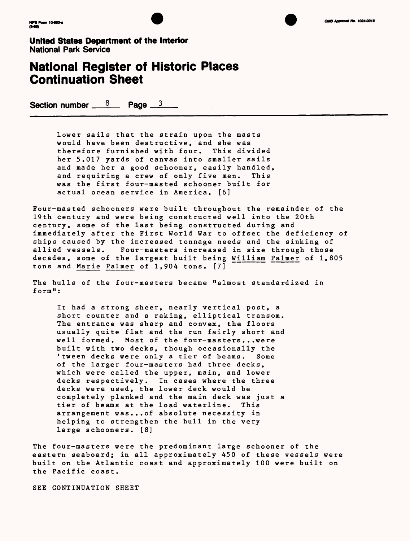



### **National Register of Historic Places Continuation Sheet**

Section number  $\frac{8}{2}$  Page  $\frac{3}{2}$ 

lower sails that the strain upon the masts would have been destructive, and she was therefore furnished with four. This divided her 5,017 yards of canvas into smaller sails and made her a good schooner, easily handled, and requiring a crew of only five men. This was the first four-masted schooner built for actual ocean service in America. [6]

Four-masted schooners were built throughout the remainder of the 19th century and were being constructed well into the 20th century, some of the last being constructed during and immediately after the First World War to offset the deficiency of ships caused by the increased tonnage needs and the sinking of allied vessels. Four-masters increased in size through those decades, some of the largest built being William Palmer of 1,805 tons and Marie Palmer of 1,904 tons. [7]

The hulls of the four-masters became "almost standardized in form":

It had a strong sheer, nearly vertical post, a short counter and a raking, elliptical transom. The entrance was sharp and convex, the floors usually quite flat and the run fairly short and well formed. Most of the four-masters...were built with two decks, though occasionally the 'tween decks were only a tier of beams. Some of the larger four-masters had three decks, which were called the upper, main, and lower decks respectively. In cases where the three decks were used, the lower deck would be completely planked and the main deck was just a tier of beams at the load waterline. This arrangement was...of absolute necessity in helping to strengthen the hull in the very large schooners. [8]

The four-masters were the predominant large schooner of the eastern seaboard; in all approximately 450 of these vessels were built on the Atlantic coast and approximately 100 were built on the Pacific coast.

SEE CONTINUATION SHEET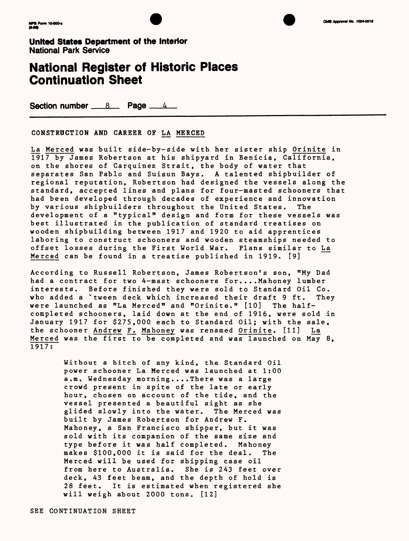



### **National Register of Historic Places Continuation Sheet**

**Section number 8 Rage 44** 

CONSTRUCTION AND CAREER OF LA MERCED

La Merced was built side-by-side with her sister ship Orinite in 1917 by James Robertson at his shipyard in Benicia, California, on the shores of Carquinez Strait, the body of water that separates San Pablo and Suisun Bays. A talented shipbuilder of regional reputation, Robertson had designed the vessels along the standard, accepted lines and plans for four-masted schooners that had been developed through decades of experience and innovation by various shipbuilders throughout the United States. The development of a "typical" design and form for these vessels was best illustrated in the publication of standard treatises on wooden shipbuilding between 1917 and 1920 to aid apprentices laboring to construct schooners and wooden steamships needed to offset losses during the First World War. Plans similar to La\_ Merced can be found in a treatise published in 1919. [9]

According to Russell Robertson, James Robertson's son, "My Dad had a contract for two 4-mast schooners for....Mahoney lumber interests. Before finished they were sold to Standard Oil Co. who added a 'tween deck which increased their draft 9 ft. They were launched as "La Merced" and "Orinite." [10] The halfcompleted schooners, laid down at the end of 1916, were sold in January 1917 for \$275,000 each to Standard Oil; with the sale, the schooner Andrew F. Mahoney was renamed Orinite. [11] La Merced was the first to be completed and was launched on May 8, 1917:

> Without a hitch of any kind, the Standard Oil power schooner La Merced was launched at 1:00 a.m. Wednesday morning.... There was a large crowd present in spite of the late or early hour, chosen on account of the tide, and the vessel presented a beautiful sight as she glided slowly into the water. The Merced was built by James Robertson for Andrew F. Mahoney, a San Francisco shipper, but it was sold with its companion of the same size and type before it was half completed. Mahoney makes \$100,000 it is said for the deal. The Merced will be used for shipping case oil from here to Australia. She is 243 feet over deck, 43 feet beam, and the depth of hold is 28 feet. It is estimated when registered she will weigh about 2000 tons. [12]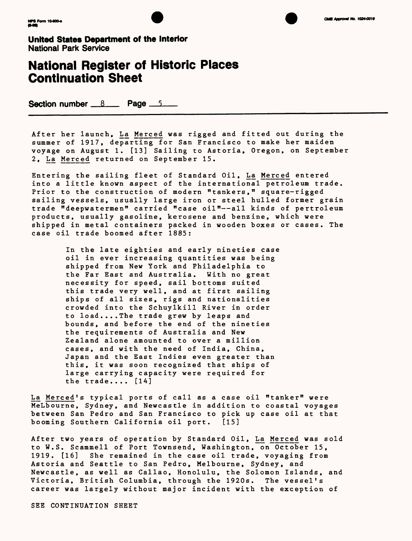



### **National Register of Historic Places Continuation Sheet**

Section number \_\_8 \_\_\_\_ Page \_\_5

After her launch, La Merced was rigged and fitted out during the summer of 1917, departing for San Francisco to make her maiden voyage on August 1. [13] Sailing to Astoria, Oregon, on September 2, La Merced returned on September 15.

Entering the sailing fleet of Standard Oil, La Merced entered into a little known aspect of the international petroleum trade. Prior to the construction of modern "tankers," square-rigged sailing vessels, usually large iron or steel hulled former grain trade "deepwatermen" carried "case oil"--all kinds of pertroleum products, usually gasoline, kerosene and benzine, which were shipped in metal containers packed in wooden boxes or cases. The case oil trade boomed after 1885:

> In the late eighties and early nineties case oil in ever increasing quantities was being shipped from New York and Philadelphia to the Far East and Australia. With no great necessity for speed, sail bottoms suited this trade very well, and at first sailing ships of all sizes, rigs and nationalities crowded into the Schuylkill River in order to load....The trade grew by leaps and bounds, and before the end of the nineties the requirements of Australia and New Zealand alone amounted to over a million cases, and with the need of India, China, Japan and the East Indies even greater than this, it was soon recognized that ships of large carrying capacity were required for the trade.... [14]

La Merced's typical ports of call as a case oil "tanker" were MeLbourne, Sydney, and Newcastle in addition to coastal voyages between San Pedro and San Francisco to pick up case oil at that booming Southern California oil port. [15]

After two years of operation by Standard Oil, La Merced was sold to W.S. Scammell of Port Townsend, Washington, on October 15, 1919. [16] She remained in the case oil trade, voyaging from Astoria and Seattle to San Pedro, Melbourne, Sydney, and Newcastle, as well as Callao, Honolulu, the Solomon Islands, and Victoria, British Columbia, through the 1920s. The vessel's career was largely without major incident with the exception of

SEE CONTINUATION SHEET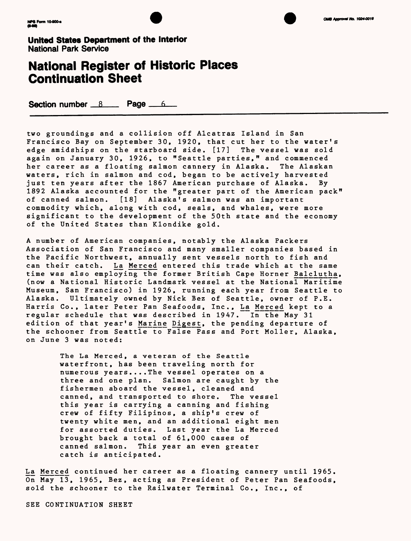



### **National Register of Historic Places Continuation Sheet**

Section number  $8$  Page  $6$ 

two groundings and a collision off Alcatraz Island in San Francisco Bay on September 30, 1920, that cut her to the water's edge amidships on the starboard side. [17] The vessel was sold again on January 30, 1926, to "Seattle parties," and commenced her career as a floating salmon cannery in Alaska. The Alaskan waters, rich in salmon and cod, began to be actively harvested just ten years after the 1867 American purchase of Alaska. By 1892 Alaska accounted for the "greater part of the American pack" of canned salmon. [18] Alaska's salmon was an important commodity which, along with cod, seals, and whales, were more significant to the development of the 50th state and the economy of the United States than Klondike gold.

A number of American companies, notably the Alaska Packers Association of San Francisco and many smaller companies based in the Pacific Northwest, annually sent vessels north to fish and can their catch. La Merced entered this trade which at the same time was also employing the former British Cape Horner Balclutha, (now a National Historic Landmark vessel at the National Maritime Museum, San Francisco) in 1926, running each year from Seattle to Alaska. Ultimately owned by Nick Bez of Seattle, owner of P.E. Harris Co., later Peter Pan Seafoods, Inc., La Merced kept to a regular schedule that was described in 1947. In the May 31 edition of that year's Marine Digest, the pending departure of the schooner from Seattle to False Pass and Port Moller, Alaska, on June 3 was noted:

> The La Merced, a veteran of the Seattle waterfront, has been traveling north for numerous years....The vessel operates on a three and one plan. Salmon are caught by the fishermen aboard the vessel, cleaned and canned, and transported to shore. The vessel this year is carrying a canning and fishing crew of fifty Filipinos, a ship's crew of twenty white men, and an additional eight men for assorted duties. Last year the La Merced brought back a total of 61,000 cases of canned salmon. This year an even greater catch is anticipated.

La Merced continued her career as a floating cannery until 1965. On May 13, 1965, Bez, acting as President of Peter Pan Seafoods, sold the schooner to the Railwater Terminal Co., Inc., of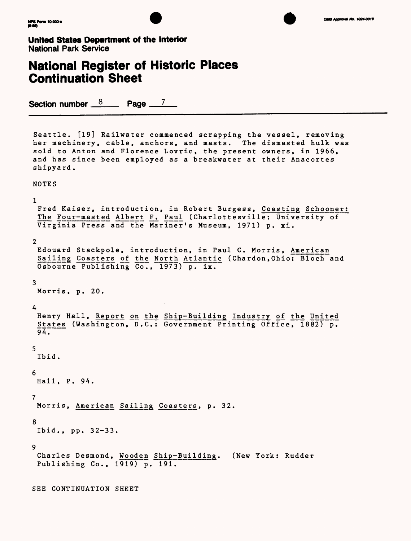



### **National Register of Historic Places Continuation Sheet**

Osbourne Publishing Co., 1973) p. ix.

Section number  $8 \times 10^{-7}$ 

Seattle. [19] Railwater commenced scrapping the vessel, removing her machinery, cable, anchors, and masts. The dismasted hulk was sold to Anton and Florence Lovric, the present owners, in 1966, and has since been employed as a breakwater at their Anacortes shipyard.

NOTES

1

```
Fred Kaiser, introduction, in Robert Burgess, Coasting Schooner:
The Four-masted Albert F. Paul (Charlottesville: University of
Virginia Press and the Mariner's Museum, 1971) p. xi.
2 
Edouard Stackpole, introduction, in Paul C. Morris, American
Sailing Coasters of the North Atlantic (Chardon, Ohio: Bloch and
```
3

Morris, p. 20.

4

```
Henry Hall, Report on the Ship-Building Industry of the United
 States (Washington, D.C.: Government Printing Office, 1882) p. 
94.
5 
 Ibid.
6 
Hall, P. 94.
7 
Morris, American Sailing Coasters, p. 32.
8 
Ibid., pp. 32-33.
9
Charles Desmond, Wooden Ship-Building. (New York: Rudder 
Publishing Co., 1919) p. 191.
SEE CONTINUATION SHEET
```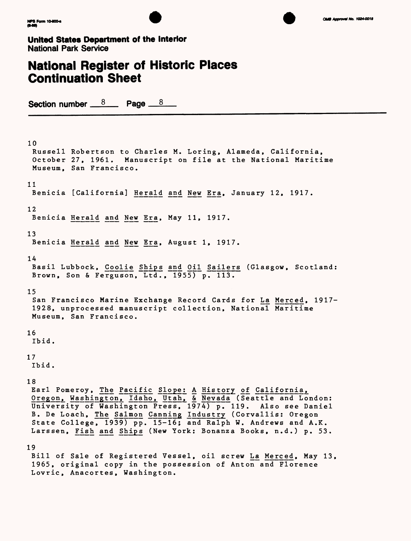

### **National Register of Historic Places Continuation Sheet**

Section number  $\frac{8}{2}$  Page  $\frac{8}{2}$ 

Lovric, Anacortes, Washington.

10 Russell Robertson to Charles M. Loring, Alameda, California, October 27, 1961. Manuscript on file at the National Maritime Museum, San Francisco. 11 Benicia [California] Herald and New Era, January 12, 1917. 12 Benicia Herald and New Era, May 11, 1917. 13 Benicia Herald and New Era, August 1, 1917. 14 Basil Lubbock, Coolie Ships and Oil Sailers (Glasgow, Scotland: Brown, Son & Ferguson, Ltd., 1955) p. 113. 15 San Francisco Marine Exchange Record Cards for La\_ Merced, 1917- 1928, unprocessed manuscript collection, National Maritime Museum, San Francisco. 16 Ibid. 17 Ibid. 18 Earl Pomeroy, The Pacific Slope: A History of California, Oregon, Washington, Idaho, Utah, & Nevada (Seattle and London: University of Washington Press, 1974) p. 119. Also see Daniel B. De Loach, The Salmon Canning Industry (Corvallis: Oregon State College, 1939) pp. 15-16; and Ralph W. Andrews and A.K. Larssen, Fish and Ships (New York: Bonanza Books, n.d.) p. 53. 19 Bill of Sale of Registered Vessel, oil screw La Merced, May 13, 1965, original copy in the possession of Anton and Florence